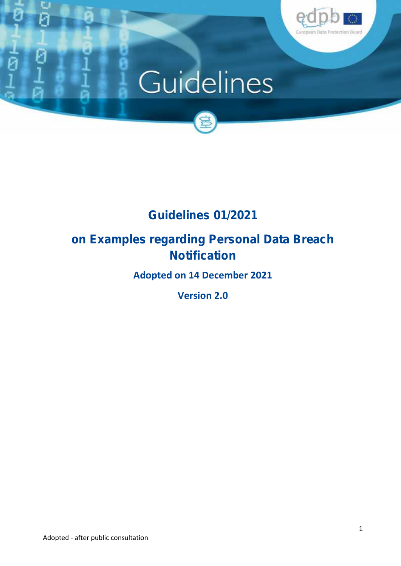

# Guidelines



# **Guidelines 01/2021**

## **on Examples regarding Personal Data Breach Notification**

**Adopted on 14 December 2021**

**Version 2.0**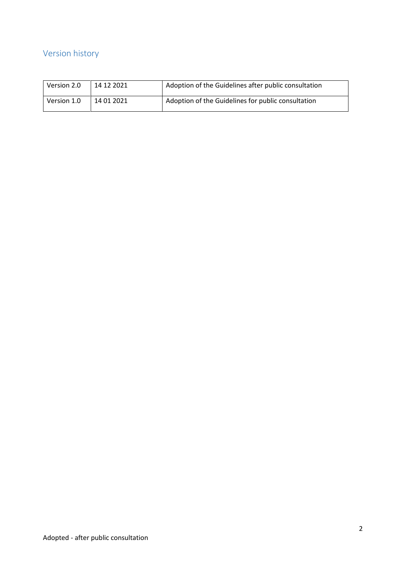## **Version history**

| Version 2.0 | 14 12 2021 | Adoption of the Guidelines after public consultation |
|-------------|------------|------------------------------------------------------|
| Version 1.0 | 14 01 2021 | Adoption of the Guidelines for public consultation   |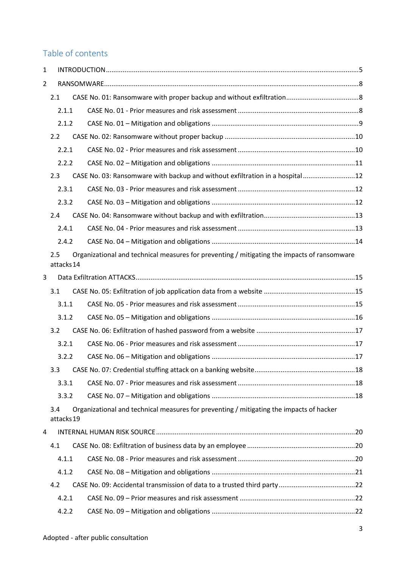## **Table of contents**

| $\mathbf{1}$ |                   |                                                                                             |  |
|--------------|-------------------|---------------------------------------------------------------------------------------------|--|
| 2            |                   |                                                                                             |  |
|              | 2.1               |                                                                                             |  |
|              | 2.1.1             |                                                                                             |  |
|              | 2.1.2             |                                                                                             |  |
|              | 2.2               |                                                                                             |  |
|              | 2.2.1             |                                                                                             |  |
|              | 2.2.2             |                                                                                             |  |
|              | 2.3               | CASE No. 03: Ransomware with backup and without exfiltration in a hospital 12               |  |
|              | 2.3.1             |                                                                                             |  |
|              | 2.3.2             |                                                                                             |  |
|              | 2.4               |                                                                                             |  |
|              | 2.4.1             |                                                                                             |  |
|              | 2.4.2             |                                                                                             |  |
|              | 2.5<br>attacks 14 | Organizational and technical measures for preventing / mitigating the impacts of ransomware |  |
| 3            |                   |                                                                                             |  |
|              | 3.1               |                                                                                             |  |
|              | 3.1.1             |                                                                                             |  |
|              | 3.1.2             |                                                                                             |  |
|              | 3.2               |                                                                                             |  |
|              | 3.2.1             |                                                                                             |  |
|              | 3.2.2             |                                                                                             |  |
|              | 3.3               |                                                                                             |  |
|              | 3.3.1             |                                                                                             |  |
|              | 3.3.2             |                                                                                             |  |
|              | 3.4<br>attacks 19 | Organizational and technical measures for preventing / mitigating the impacts of hacker     |  |
| 4            |                   |                                                                                             |  |
|              | 4.1               |                                                                                             |  |
|              | 4.1.1             |                                                                                             |  |
|              | 4.1.2             |                                                                                             |  |
|              | 4.2               |                                                                                             |  |
|              | 4.2.1             |                                                                                             |  |
|              | 4.2.2             |                                                                                             |  |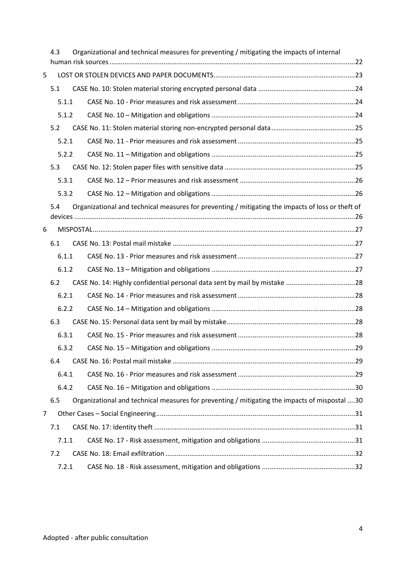|   | 4.3   | Organizational and technical measures for preventing / mitigating the impacts of internal         |  |
|---|-------|---------------------------------------------------------------------------------------------------|--|
| 5 |       |                                                                                                   |  |
|   | 5.1   |                                                                                                   |  |
|   | 5.1.1 |                                                                                                   |  |
|   | 5.1.2 |                                                                                                   |  |
|   | 5.2   |                                                                                                   |  |
|   | 5.2.1 |                                                                                                   |  |
|   | 5.2.2 |                                                                                                   |  |
|   | 5.3   |                                                                                                   |  |
|   | 5.3.1 |                                                                                                   |  |
|   | 5.3.2 |                                                                                                   |  |
|   | 5.4   | Organizational and technical measures for preventing / mitigating the impacts of loss or theft of |  |
| 6 |       |                                                                                                   |  |
|   | 6.1   |                                                                                                   |  |
|   | 6.1.1 |                                                                                                   |  |
|   | 6.1.2 |                                                                                                   |  |
|   | 6.2   | CASE No. 14: Highly confidential personal data sent by mail by mistake 28                         |  |
|   | 6.2.1 |                                                                                                   |  |
|   | 6.2.2 |                                                                                                   |  |
|   | 6.3   |                                                                                                   |  |
|   | 6.3.1 |                                                                                                   |  |
|   | 6.3.2 |                                                                                                   |  |
|   | 6.4   |                                                                                                   |  |
|   | 6.4.1 |                                                                                                   |  |
|   | 6.4.2 |                                                                                                   |  |
|   | 6.5   | Organizational and technical measures for preventing / mitigating the impacts of mispostal 30     |  |
| 7 |       |                                                                                                   |  |
|   | 7.1   |                                                                                                   |  |
|   | 7.1.1 |                                                                                                   |  |
|   | 7.2   |                                                                                                   |  |
|   | 7.2.1 |                                                                                                   |  |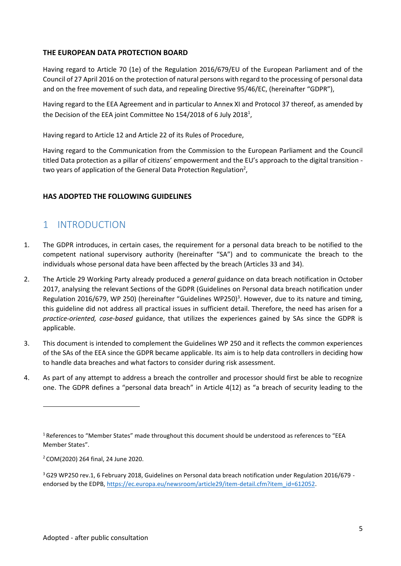#### **THE EUROPEAN DATA PROTECTION BOARD**

Having regard to Article 70 (1e) of the Regulation 2016/679/EU of the European Parliament and of the Council of 27 April 2016 on the protection of natural persons with regard to the processing of personal data and on the free movement of such data, and repealing Directive 95/46/EC, (hereinafter "GDPR"),

Having regard to the EEA Agreement and in particular to Annex XI and Protocol 37 thereof, as amended by the Decision of the EEA joint Committee No 154/2018 of 6 July 2018 $^{\rm 1}$ ,

Having regard to Article 12 and Article 22 of its Rules of Procedure,

Having regard to the Communication from the Commission to the European Parliament and the Council titled Data protection as a pillar of citizens' empowerment and the EU's approach to the digital transition two years of application of the General Data Protection Regulation<sup>2</sup>,

#### **HAS ADOPTED THE FOLLOWING GUIDELINES**

### 1 INTRODUCTION

- 1. The GDPR introduces, in certain cases, the requirement for a personal data breach to be notified to the competent national supervisory authority (hereinafter "SA") and to communicate the breach to the individuals whose personal data have been affected by the breach (Articles 33 and 34).
- 2. The Article 29 Working Party already produced a *general* guidance on data breach notification in October 2017, analysing the relevant Sections of the GDPR (Guidelines on Personal data breach notification under Regulation 2016/679, WP 250) (hereinafter "Guidelines WP250)<sup>3</sup>. However, due to its nature and timing, this guideline did not address all practical issues in sufficient detail. Therefore, the need has arisen for a *practice-oriented, case-based* guidance, that utilizes the experiences gained by SAs since the GDPR is applicable.
- 3. This document is intended to complement the Guidelines WP 250 and it reflects the common experiences of the SAs of the EEA since the GDPR became applicable. Its aim is to help data controllers in deciding how to handle data breaches and what factors to consider during risk assessment.
- 4. As part of any attempt to address a breach the controller and processor should first be able to recognize one. The GDPR defines a "personal data breach" in Article 4(12) as "a breach of security leading to the

<sup>2</sup> COM(2020) 264 final, 24 June 2020.

<sup>&</sup>lt;sup>1</sup> References to "Member States" made throughout this document should be understood as references to "EEA Member States".

<sup>&</sup>lt;sup>3</sup> G29 WP250 rev.1, 6 February 2018, Guidelines on Personal data breach notification under Regulation 2016/679 endorsed by the EDPB, https://ec.europa.eu/newsroom/article29/item-detail.cfm?item\_id=612052.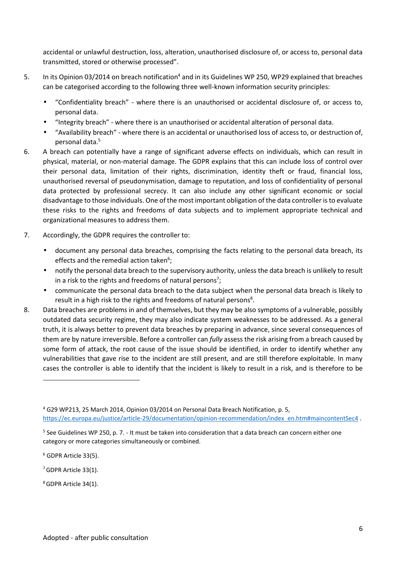accidental or unlawful destruction, loss, alteration, unauthorised disclosure of, or access to, personal data transmitted, stored or otherwise processed".

- 5. In its Opinion 03/2014 on breach notification<sup>4</sup> and in its Guidelines WP 250, WP29 explained that breaches can be categorised according to the following three well-known information security principles:
	- "Confidentiality breach" where there is an unauthorised or accidental disclosure of, or access to, personal data.
	- "Integrity breach" where there is an unauthorised or accidental alteration of personal data.
	- "Availability breach" where there is an accidental or unauthorised loss of access to, or destruction of, personal data.<sup>5</sup>
- 6. A breach can potentially have a range of significant adverse effects on individuals, which can result in physical, material, or non-material damage. The GDPR explains that this can include loss of control over their personal data, limitation of their rights, discrimination, identity theft or fraud, financial loss, unauthorised reversal of pseudonymisation, damage to reputation, and loss of confidentiality of personal data protected by professional secrecy. It can also include any other significant economic or social disadvantage to those individuals. One of the most important obligation of the data controller is to evaluate these risks to the rights and freedoms of data subjects and to implement appropriate technical and organizational measures to address them.
- 7. Accordingly, the GDPR requires the controller to:
	- document any personal data breaches, comprising the facts relating to the personal data breach, its effects and the remedial action taken<sup>6</sup>;
	- notify the personal data breach to the supervisory authority, unless the data breach is unlikely to result in a risk to the rights and freedoms of natural persons<sup>7</sup>;
	- communicate the personal data breach to the data subject when the personal data breach is likely to result in a high risk to the rights and freedoms of natural persons<sup>8</sup>.
- 8. Data breaches are problems in and of themselves, but they may be also symptoms of a vulnerable, possibly outdated data security regime, they may also indicate system weaknesses to be addressed. As a general truth, it is always better to prevent data breaches by preparing in advance, since several consequences of them are by nature irreversible. Before a controller can *fully* assess the risk arising from a breach caused by some form of attack, the root cause of the issue should be identified, in order to identify whether any vulnerabilities that gave rise to the incident are still present, and are still therefore exploitable. In many cases the controller is able to identify that the incident is likely to result in a risk, and is therefore to be

- <sup>7</sup>GDPR Article 33(1).
- 8GDPR Article 34(1).

<sup>4</sup> G29 WP213, 25 March 2014, Opinion 03/2014 on Personal Data Breach Notification, p. 5, https://ec.europa.eu/justice/article-29/documentation/opinion-recommendation/index\_en.htm#maincontentSec4 .

<sup>&</sup>lt;sup>5</sup> See Guidelines WP 250, p. 7. - It must be taken into consideration that a data breach can concern either one category or more categories simultaneously or combined.

<sup>6</sup> GDPR Article 33(5).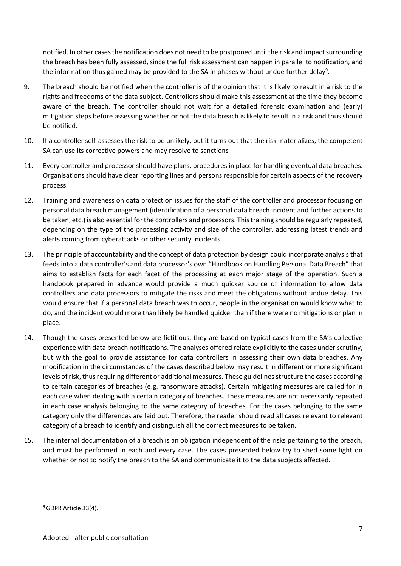notified. In other cases the notification does not need to be postponed until the risk and impact surrounding the breach has been fully assessed, since the full risk assessment can happen in parallel to notification, and the information thus gained may be provided to the SA in phases without undue further delay<sup>9</sup>.

- 9. The breach should be notified when the controller is of the opinion that it is likely to result in a risk to the rights and freedoms of the data subject. Controllers should make this assessment at the time they become aware of the breach. The controller should not wait for a detailed forensic examination and (early) mitigation steps before assessing whether or not the data breach is likely to result in a risk and thus should be notified.
- 10. If a controller self-assesses the risk to be unlikely, but it turns out that the risk materializes, the competent SA can use its corrective powers and may resolve to sanctions
- 11. Every controller and processor should have plans, procedures in place for handling eventual data breaches. Organisations should have clear reporting lines and persons responsible for certain aspects of the recovery process
- 12. Training and awareness on data protection issues for the staff of the controller and processor focusing on personal data breach management (identification of a personal data breach incident and further actions to be taken, etc.) is also essential for the controllers and processors. This training should be regularly repeated, depending on the type of the processing activity and size of the controller, addressing latest trends and alerts coming from cyberattacks or other security incidents.
- 13. The principle of accountability and the concept of data protection by design could incorporate analysis that feeds into a data controller's and data processor's own "Handbook on Handling Personal Data Breach" that aims to establish facts for each facet of the processing at each major stage of the operation. Such a handbook prepared in advance would provide a much quicker source of information to allow data controllers and data processors to mitigate the risks and meet the obligations without undue delay. This would ensure that if a personal data breach was to occur, people in the organisation would know what to do, and the incident would more than likely be handled quicker than if there were no mitigations or plan in place.
- 14. Though the cases presented below are fictitious, they are based on typical cases from the SA's collective experience with data breach notifications. The analyses offered relate explicitly to the cases under scrutiny, but with the goal to provide assistance for data controllers in assessing their own data breaches. Any modification in the circumstances of the cases described below may result in different or more significant levels of risk, thus requiring different or additional measures. These guidelines structure the cases according to certain categories of breaches (e.g. ransomware attacks). Certain mitigating measures are called for in each case when dealing with a certain category of breaches. These measures are not necessarily repeated in each case analysis belonging to the same category of breaches. For the cases belonging to the same category only the differences are laid out. Therefore, the reader should read all cases relevant to relevant category of a breach to identify and distinguish all the correct measures to be taken.
- 15. The internal documentation of a breach is an obligation independent of the risks pertaining to the breach, and must be performed in each and every case. The cases presented below try to shed some light on whether or not to notify the breach to the SA and communicate it to the data subjects affected.

<sup>&</sup>lt;sup>9</sup> GDPR Article 33(4).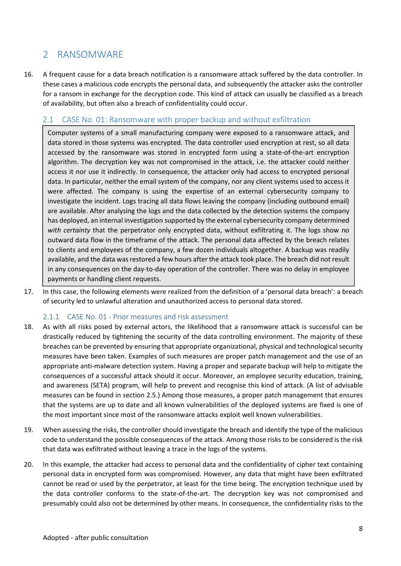## 2 RANSOMWARE

16. A frequent cause for a data breach notification is a ransomware attack suffered by the data controller. In these cases a malicious code encrypts the personal data, and subsequently the attacker asks the controller for a ransom in exchange for the decryption code. This kind of attack can usually be classified as a breach of availability, but often also a breach of confidentiality could occur.

#### 2.1 CASE No. 01: Ransomware with proper backup and without exfiltration

Computer systems of a small manufacturing company were exposed to a ransomware attack, and data stored in those systems was encrypted. The data controller used encryption at rest, so all data accessed by the ransomware was stored in encrypted form using a state-of-the-art encryption algorithm. The decryption key was not compromised in the attack, i.e. the attacker could neither access it nor use it indirectly. In consequence, the attacker only had access to encrypted personal data. In particular, neither the email system of the company, nor any client systems used to access it were affected. The company is using the expertise of an external cybersecurity company to investigate the incident. Logs tracing all data flows leaving the company (including outbound email) are available. After analysing the logs and the data collected by the detection systems the company has deployed, an internal investigation supported by the external cybersecurity company determined *with certainty* that the perpetrator only encrypted data, without exfiltrating it. The logs show no outward data flow in the timeframe of the attack. The personal data affected by the breach relates to clients and employees of the company, a few dozen individuals altogether. A backup was readily available, and the data was restored a few hours after the attack took place. The breach did not result in any consequences on the day-to-day operation of the controller. There was no delay in employee payments or handling client requests.

17. In this case, the following elements were realized from the definition of a 'personal data breach': a breach of security led to unlawful alteration and unauthorized access to personal data stored.

#### 2.1.1 CASE No. 01 - Prior measures and risk assessment

- 18. As with all risks posed by external actors, the likelihood that a ransomware attack is successful can be drastically reduced by tightening the security of the data controlling environment. The majority of these breaches can be prevented by ensuring that appropriate organizational, physical and technological security measures have been taken. Examples of such measures are proper patch management and the use of an appropriate anti-malware detection system. Having a proper and separate backup will help to mitigate the consequences of a successful attack should it occur. Moreover, an employee security education, training, and awareness (SETA) program, will help to prevent and recognise this kind of attack. (A list of advisable measures can be found in section 2.5.) Among those measures, a proper patch management that ensures that the systems are up to date and all known vulnerabilities of the deployed systems are fixed is one of the most important since most of the ransomware attacks exploit well known vulnerabilities.
- 19. When assessing the risks, the controller should investigate the breach and identify the type of the malicious code to understand the possible consequences of the attack. Among those risks to be considered is the risk that data was exfiltrated without leaving a trace in the logs of the systems.
- 20. In this example, the attacker had access to personal data and the confidentiality of cipher text containing personal data in encrypted form was compromised. However, any data that might have been exfiltrated cannot be read or used by the perpetrator, at least for the time being. The encryption technique used by the data controller conforms to the state-of-the-art. The decryption key was not compromised and presumably could also not be determined by other means. In consequence, the confidentiality risks to the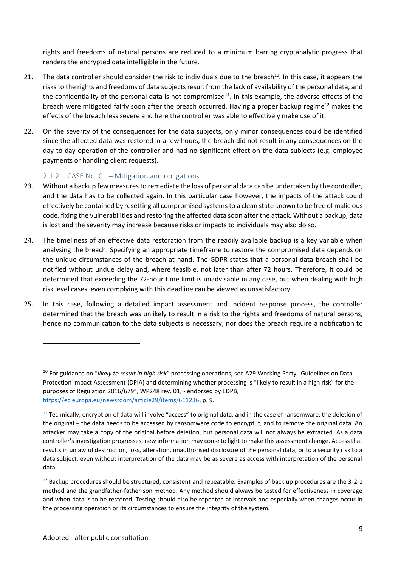rights and freedoms of natural persons are reduced to a minimum barring cryptanalytic progress that renders the encrypted data intelligible in the future.

- 21. The data controller should consider the risk to individuals due to the breach<sup>10</sup>. In this case, it appears the risks to the rights and freedoms of data subjects result from the lack of availability of the personal data, and the confidentiality of the personal data is not compromised<sup>11</sup>. In this example, the adverse effects of the breach were mitigated fairly soon after the breach occurred. Having a proper backup regime<sup>12</sup> makes the effects of the breach less severe and here the controller was able to effectively make use of it.
- 22. On the severity of the consequences for the data subjects, only minor consequences could be identified since the affected data was restored in a few hours, the breach did not result in any consequences on the day-to-day operation of the controller and had no significant effect on the data subjects (e.g. employee payments or handling client requests).

#### 2.1.2 CASE No. 01 – Mitigation and obligations

- 23. Without a backup few measures to remediate the loss of personal data can be undertaken by the controller, and the data has to be collected again. In this particular case however, the impacts of the attack could effectively be contained by resetting all compromised systems to a clean state known to be free of malicious code, fixing the vulnerabilities and restoring the affected data soon after the attack. Without a backup, data is lost and the severity may increase because risks or impacts to individuals may also do so.
- 24. The timeliness of an effective data restoration from the readily available backup is a key variable when analysing the breach. Specifying an appropriate timeframe to restore the compromised data depends on the unique circumstances of the breach at hand. The GDPR states that a personal data breach shall be notified without undue delay and, where feasible, not later than after 72 hours. Therefore, it could be determined that exceeding the 72-hour time limit is unadvisable in any case, but when dealing with high risk level cases, even complying with this deadline can be viewed as unsatisfactory.
- 25. In this case, following a detailed impact assessment and incident response process, the controller determined that the breach was unlikely to result in a risk to the rights and freedoms of natural persons, hence no communication to the data subjects is necessary, nor does the breach require a notification to

<sup>10</sup> For guidance on "*likely to result in high risk*" processing operations, see A29 Working Party "Guidelines on Data Protection Impact Assessment (DPIA) and determining whether processing is "likely to result in a high risk" for the purposes of Regulation 2016/679", WP248 rev. 01, - endorsed by EDPB, https://ec.europa.eu/newsroom/article29/items/611236, p. 9.

<sup>&</sup>lt;sup>11</sup> Technically, encryption of data will involve "access" to original data, and in the case of ransomware, the deletion of the original – the data needs to be accessed by ransomware code to encrypt it, and to remove the original data. An attacker may take a copy of the original before deletion, but personal data will not always be extracted. As a data controller's investigation progresses, new information may come to light to make this assessment change. Access that results in unlawful destruction, loss, alteration, unauthorised disclosure of the personal data, or to a security risk to a data subject, even without interpretation of the data may be as severe as access with interpretation of the personal data.

<sup>&</sup>lt;sup>12</sup> Backup procedures should be structured, consistent and repeatable. Examples of back up procedures are the 3-2-1 method and the grandfather-father-son method. Any method should always be tested for effectiveness in coverage and when data is to be restored. Testing should also be repeated at intervals and especially when changes occur in the processing operation or its circumstances to ensure the integrity of the system.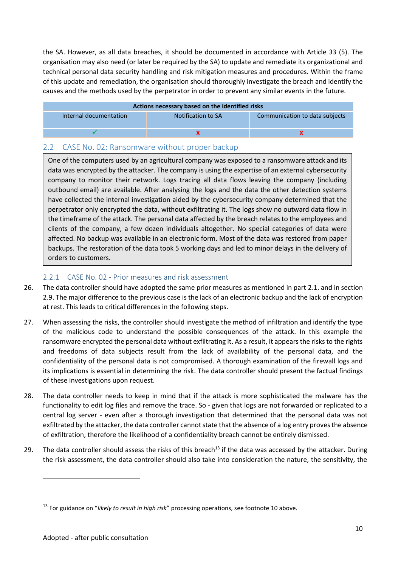the SA. However, as all data breaches, it should be documented in accordance with Article 33 (5). The organisation may also need (or later be required by the SA) to update and remediate its organizational and technical personal data security handling and risk mitigation measures and procedures. Within the frame of this update and remediation, the organisation should thoroughly investigate the breach and identify the causes and the methods used by the perpetrator in order to prevent any similar events in the future.

| Actions necessary based on the identified risks |                    |                                |
|-------------------------------------------------|--------------------|--------------------------------|
| Internal documentation                          | Notification to SA | Communication to data subjects |
|                                                 |                    |                                |

#### 2.2 CASE No. 02: Ransomware without proper backup

One of the computers used by an agricultural company was exposed to a ransomware attack and its data was encrypted by the attacker. The company is using the expertise of an external cybersecurity company to monitor their network. Logs tracing all data flows leaving the company (including outbound email) are available. After analysing the logs and the data the other detection systems have collected the internal investigation aided by the cybersecurity company determined that the perpetrator only encrypted the data, without exfiltrating it. The logs show no outward data flow in the timeframe of the attack. The personal data affected by the breach relates to the employees and clients of the company, a few dozen individuals altogether. No special categories of data were affected. No backup was available in an electronic form. Most of the data was restored from paper backups. The restoration of the data took 5 working days and led to minor delays in the delivery of orders to customers.

#### 2.2.1 CASE No. 02 - Prior measures and risk assessment

- 26. The data controller should have adopted the same prior measures as mentioned in part 2.1. and in section 2.9. The major difference to the previous case is the lack of an electronic backup and the lack of encryption at rest. This leads to critical differences in the following steps.
- 27. When assessing the risks, the controller should investigate the method of infiltration and identify the type of the malicious code to understand the possible consequences of the attack. In this example the ransomware encrypted the personal data without exfiltrating it. As a result, it appears the risks to the rights and freedoms of data subjects result from the lack of availability of the personal data, and the confidentiality of the personal data is not compromised. A thorough examination of the firewall logs and its implications is essential in determining the risk. The data controller should present the factual findings of these investigations upon request.
- 28. The data controller needs to keep in mind that if the attack is more sophisticated the malware has the functionality to edit log files and remove the trace. So - given that logs are not forwarded or replicated to a central log server - even after a thorough investigation that determined that the personal data was not exfiltrated by the attacker, the data controller cannot state that the absence of a log entry proves the absence of exfiltration, therefore the likelihood of a confidentiality breach cannot be entirely dismissed.
- 29. The data controller should assess the risks of this breach<sup>13</sup> if the data was accessed by the attacker. During the risk assessment, the data controller should also take into consideration the nature, the sensitivity, the

<sup>13</sup> For guidance on "*likely to result in high risk*" processing operations, see footnote 10 above.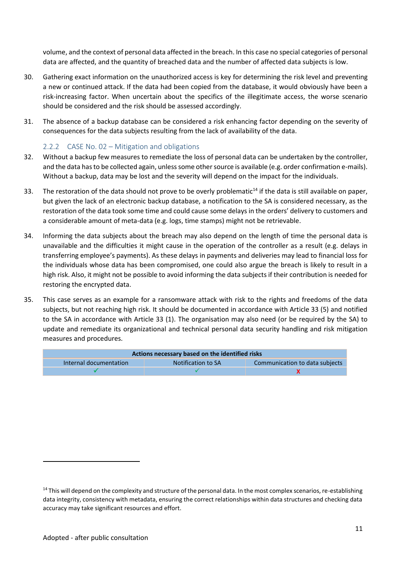volume, and the context of personal data affected in the breach. In this case no special categories of personal data are affected, and the quantity of breached data and the number of affected data subjects is low.

- 30. Gathering exact information on the unauthorized access is key for determining the risk level and preventing a new or continued attack. If the data had been copied from the database, it would obviously have been a risk-increasing factor. When uncertain about the specifics of the illegitimate access, the worse scenario should be considered and the risk should be assessed accordingly.
- 31. The absence of a backup database can be considered a risk enhancing factor depending on the severity of consequences for the data subjects resulting from the lack of availability of the data.

#### 2.2.2 CASE No. 02 – Mitigation and obligations

- 32. Without a backup few measures to remediate the loss of personal data can be undertaken by the controller, and the data has to be collected again, unless some other source is available (e.g. order confirmation e-mails). Without a backup, data may be lost and the severity will depend on the impact for the individuals.
- 33. The restoration of the data should not prove to be overly problematic $<sup>14</sup>$  if the data is still available on paper,</sup> but given the lack of an electronic backup database, a notification to the SA is considered necessary, as the restoration of the data took some time and could cause some delays in the orders' delivery to customers and a considerable amount of meta-data (e.g. logs, time stamps) might not be retrievable.
- 34. Informing the data subjects about the breach may also depend on the length of time the personal data is unavailable and the difficulties it might cause in the operation of the controller as a result (e.g. delays in transferring employee's payments). As these delays in payments and deliveries may lead to financial loss for the individuals whose data has been compromised, one could also argue the breach is likely to result in a high risk. Also, it might not be possible to avoid informing the data subjects if their contribution is needed for restoring the encrypted data.
- 35. This case serves as an example for a ransomware attack with risk to the rights and freedoms of the data subjects, but not reaching high risk. It should be documented in accordance with Article 33 (5) and notified to the SA in accordance with Article 33 (1). The organisation may also need (or be required by the SA) to update and remediate its organizational and technical personal data security handling and risk mitigation measures and procedures.

| Actions necessary based on the identified risks                                |  |  |  |
|--------------------------------------------------------------------------------|--|--|--|
| Communication to data subjects<br>Notification to SA<br>Internal documentation |  |  |  |
|                                                                                |  |  |  |

 $14$  This will depend on the complexity and structure of the personal data. In the most complex scenarios, re-establishing data integrity, consistency with metadata, ensuring the correct relationships within data structures and checking data accuracy may take significant resources and effort.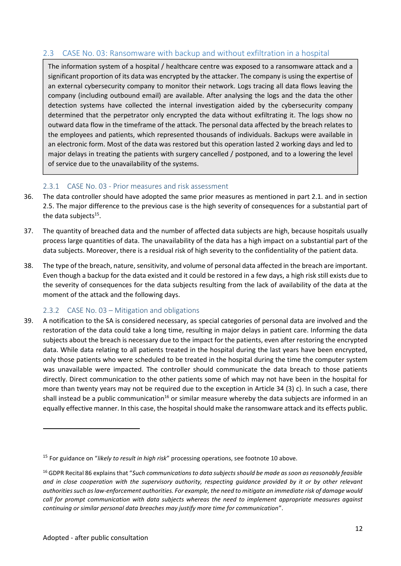#### 2.3 CASE No. 03: Ransomware with backup and without exfiltration in a hospital

The information system of a hospital / healthcare centre was exposed to a ransomware attack and a significant proportion of its data was encrypted by the attacker. The company is using the expertise of an external cybersecurity company to monitor their network. Logs tracing all data flows leaving the company (including outbound email) are available. After analysing the logs and the data the other detection systems have collected the internal investigation aided by the cybersecurity company determined that the perpetrator only encrypted the data without exfiltrating it. The logs show no outward data flow in the timeframe of the attack. The personal data affected by the breach relates to the employees and patients, which represented thousands of individuals. Backups were available in an electronic form. Most of the data was restored but this operation lasted 2 working days and led to major delays in treating the patients with surgery cancelled / postponed, and to a lowering the level of service due to the unavailability of the systems.

#### 2.3.1 CASE No. 03 - Prior measures and risk assessment

- 36. The data controller should have adopted the same prior measures as mentioned in part 2.1. and in section 2.5. The major difference to the previous case is the high severity of consequences for a substantial part of the data subjects<sup>15</sup>.
- 37. The quantity of breached data and the number of affected data subjects are high, because hospitals usually process large quantities of data. The unavailability of the data has a high impact on a substantial part of the data subjects. Moreover, there is a residual risk of high severity to the confidentiality of the patient data.
- 38. The type of the breach, nature, sensitivity, and volume of personal data affected in the breach are important. Even though a backup for the data existed and it could be restored in a few days, a high risk still exists due to the severity of consequences for the data subjects resulting from the lack of availability of the data at the moment of the attack and the following days.

#### 2.3.2 CASE No. 03 – Mitigation and obligations

39. A notification to the SA is considered necessary, as special categories of personal data are involved and the restoration of the data could take a long time, resulting in major delays in patient care. Informing the data subjects about the breach is necessary due to the impact for the patients, even after restoring the encrypted data. While data relating to all patients treated in the hospital during the last years have been encrypted, only those patients who were scheduled to be treated in the hospital during the time the computer system was unavailable were impacted. The controller should communicate the data breach to those patients directly. Direct communication to the other patients some of which may not have been in the hospital for more than twenty years may not be required due to the exception in Article 34 (3) c). In such a case, there shall instead be a public communication<sup>16</sup> or similar measure whereby the data subjects are informed in an equally effective manner. In this case, the hospital should make the ransomware attack and its effects public.

<sup>15</sup> For guidance on "*likely to result in high risk*" processing operations, see footnote 10 above.

<sup>16</sup> GDPR Recital 86 explains that "*Such communications to data subjects should be made as soon as reasonably feasible and in close cooperation with the supervisory authority, respecting guidance provided by it or by other relevant authorities such as law-enforcement authorities. For example, the need to mitigate an immediate risk of damage would call for prompt communication with data subjects whereas the need to implement appropriate measures against continuing or similar personal data breaches may justify more time for communication*".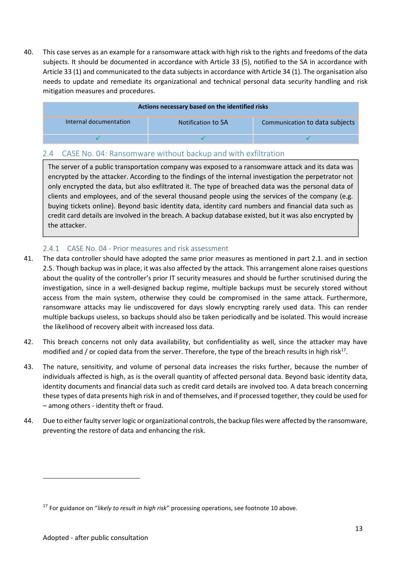40. This case serves as an example for a ransomware attack with high risk to the rights and freedoms of the data subjects. It should be documented in accordance with Article 33 (5), notified to the SA in accordance with Article 33 (1) and communicated to the data subjects in accordance with Article 34 (1). The organisation also needs to update and remediate its organizational and technical personal data security handling and risk mitigation measures and procedures.

| Actions necessary based on the identified risks |                    |                                |  |
|-------------------------------------------------|--------------------|--------------------------------|--|
| Internal documentation                          | Notification to SA | Communication to data subjects |  |
|                                                 |                    |                                |  |

#### 2.4 CASE No. 04: Ransomware without backup and with exfiltration

The server of a public transportation company was exposed to a ransomware attack and its data was encrypted by the attacker. According to the findings of the internal investigation the perpetrator not only encrypted the data, but also exfiltrated it. The type of breached data was the personal data of clients and employees, and of the several thousand people using the services of the company (e.g. buying tickets online). Beyond basic identity data, identity card numbers and financial data such as credit card details are involved in the breach. A backup database existed, but it was also encrypted by the attacker.

#### 2.4.1 CASE No. 04 - Prior measures and risk assessment

- 41. The data controller should have adopted the same prior measures as mentioned in part 2.1. and in section 2.5. Though backup was in place, it was also affected by the attack. This arrangement alone raises questions about the quality of the controller's prior IT security measures and should be further scrutinised during the investigation, since in a well-designed backup regime, multiple backups must be securely stored without access from the main system, otherwise they could be compromised in the same attack. Furthermore, ransomware attacks may lie undiscovered for days slowly encrypting rarely used data. This can render multiple backups useless, so backups should also be taken periodically and be isolated. This would increase the likelihood of recovery albeit with increased loss data.
- 42. This breach concerns not only data availability, but confidentiality as well, since the attacker may have modified and / or copied data from the server. Therefore, the type of the breach results in high risk<sup>17</sup>.
- 43. The nature, sensitivity, and volume of personal data increases the risks further, because the number of individuals affected is high, as is the overall quantity of affected personal data. Beyond basic identity data, identity documents and financial data such as credit card details are involved too. A data breach concerning these types of data presents high risk in and of themselves, and if processed together, they could be used for – among others - identity theft or fraud.
- 44. Due to either faulty server logic or organizational controls, the backup files were affected by the ransomware, preventing the restore of data and enhancing the risk.

<sup>17</sup> For guidance on "*likely to result in high risk*" processing operations, see footnote 10 above.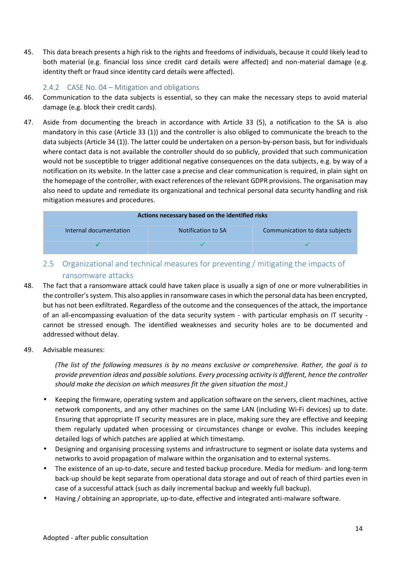45. This data breach presents a high risk to the rights and freedoms of individuals, because it could likely lead to both material (e.g. financial loss since credit card details were affected) and non-material damage (e.g. identity theft or fraud since identity card details were affected).

#### 2.4.2 CASE No. 04 – Mitigation and obligations

- 46. Communication to the data subjects is essential, so they can make the necessary steps to avoid material damage (e.g. block their credit cards).
- 47. Aside from documenting the breach in accordance with Article 33 (5), a notification to the SA is also mandatory in this case (Article 33 (1)) and the controller is also obliged to communicate the breach to the data subjects (Article 34 (1)). The latter could be undertaken on a person-by-person basis, but for individuals where contact data is not available the controller should do so publicly, provided that such communication would not be susceptible to trigger additional negative consequences on the data subjects, e.g. by way of a notification on its website. In the latter case a precise and clear communication is required, in plain sight on the homepage of the controller, with exact references of the relevant GDPR provisions. The organisation may also need to update and remediate its organizational and technical personal data security handling and risk mitigation measures and procedures.

| Actions necessary based on the identified risks |                    |                                |  |
|-------------------------------------------------|--------------------|--------------------------------|--|
| Internal documentation                          | Notification to SA | Communication to data subjects |  |
|                                                 |                    |                                |  |

- 2.5 Organizational and technical measures for preventing / mitigating the impacts of ransomware attacks
- 48. The fact that a ransomware attack could have taken place is usually a sign of one or more vulnerabilities in the controller's system. This also applies in ransomware cases in which the personal data has been encrypted, but has not been exfiltrated. Regardless of the outcome and the consequences of the attack, the importance of an all-encompassing evaluation of the data security system - with particular emphasis on IT security cannot be stressed enough. The identified weaknesses and security holes are to be documented and addressed without delay.
- 49. Advisable measures:

*(The list of the following measures is by no means exclusive or comprehensive. Rather, the goal is to provide prevention ideas and possible solutions. Every processing activity is different, hence the controller should make the decision on which measures fit the given situation the most.)*

- Keeping the firmware, operating system and application software on the servers, client machines, active network components, and any other machines on the same LAN (including Wi-Fi devices) up to date. Ensuring that appropriate IT security measures are in place, making sure they are effective and keeping them regularly updated when processing or circumstances change or evolve. This includes keeping detailed logs of which patches are applied at which timestamp.
- Designing and organising processing systems and infrastructure to segment or isolate data systems and networks to avoid propagation of malware within the organisation and to external systems.
- The existence of an up-to-date, secure and tested backup procedure. Media for medium- and long-term back-up should be kept separate from operational data storage and out of reach of third parties even in case of a successful attack (such as daily incremental backup and weekly full backup).
- Having / obtaining an appropriate, up-to-date, effective and integrated anti-malware software.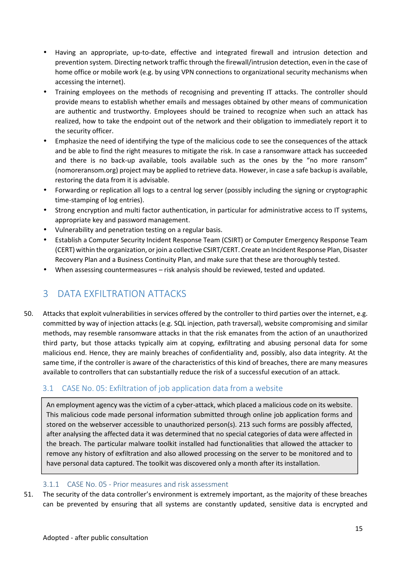- Having an appropriate, up-to-date, effective and integrated firewall and intrusion detection and prevention system. Directing network traffic through the firewall/intrusion detection, even in the case of home office or mobile work (e.g. by using VPN connections to organizational security mechanisms when accessing the internet).
- Training employees on the methods of recognising and preventing IT attacks. The controller should provide means to establish whether emails and messages obtained by other means of communication are authentic and trustworthy. Employees should be trained to recognize when such an attack has realized, how to take the endpoint out of the network and their obligation to immediately report it to the security officer.
- Emphasize the need of identifying the type of the malicious code to see the consequences of the attack and be able to find the right measures to mitigate the risk. In case a ransomware attack has succeeded and there is no back-up available, tools available such as the ones by the "no more ransom" (nomoreransom.org) project may be applied to retrieve data. However, in case a safe backup is available, restoring the data from it is advisable.
- Forwarding or replication all logs to a central log server (possibly including the signing or cryptographic time-stamping of log entries).
- Strong encryption and multi factor authentication, in particular for administrative access to IT systems, appropriate key and password management.
- Vulnerability and penetration testing on a regular basis.
- Establish a Computer Security Incident Response Team (CSIRT) or Computer Emergency Response Team (CERT) within the organization, or join a collective CSIRT/CERT. Create an Incident Response Plan, Disaster Recovery Plan and a Business Continuity Plan, and make sure that these are thoroughly tested.
- When assessing countermeasures risk analysis should be reviewed, tested and updated.

## 3 DATA EXFILTRATION ATTACKS

50. Attacks that exploit vulnerabilities in services offered by the controller to third parties over the internet, e.g. committed by way of injection attacks (e.g. SQL injection, path traversal), website compromising and similar methods, may resemble ransomware attacks in that the risk emanates from the action of an unauthorized third party, but those attacks typically aim at copying, exfiltrating and abusing personal data for some malicious end. Hence, they are mainly breaches of confidentiality and, possibly, also data integrity. At the same time, if the controller is aware of the characteristics of this kind of breaches, there are many measures available to controllers that can substantially reduce the risk of a successful execution of an attack.

#### 3.1 CASE No. 05: Exfiltration of job application data from a website

An employment agency was the victim of a cyber-attack, which placed a malicious code on its website. This malicious code made personal information submitted through online job application forms and stored on the webserver accessible to unauthorized person(s). 213 such forms are possibly affected, after analysing the affected data it was determined that no special categories of data were affected in the breach. The particular malware toolkit installed had functionalities that allowed the attacker to remove any history of exfiltration and also allowed processing on the server to be monitored and to have personal data captured. The toolkit was discovered only a month after its installation.

#### 3.1.1 CASE No. 05 - Prior measures and risk assessment

51. The security of the data controller's environment is extremely important, as the majority of these breaches can be prevented by ensuring that all systems are constantly updated, sensitive data is encrypted and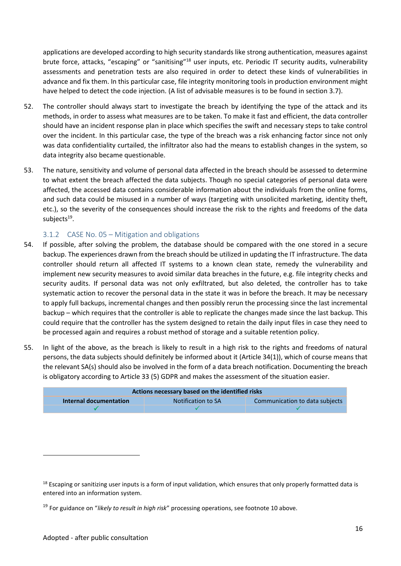applications are developed according to high security standards like strong authentication, measures against brute force, attacks, "escaping" or "sanitising"<sup>18</sup> user inputs, etc. Periodic IT security audits, vulnerability assessments and penetration tests are also required in order to detect these kinds of vulnerabilities in advance and fix them. In this particular case, file integrity monitoring tools in production environment might have helped to detect the code injection. (A list of advisable measures is to be found in section 3.7).

- 52. The controller should always start to investigate the breach by identifying the type of the attack and its methods, in order to assess what measures are to be taken. To make it fast and efficient, the data controller should have an incident response plan in place which specifies the swift and necessary steps to take control over the incident. In this particular case, the type of the breach was a risk enhancing factor since not only was data confidentiality curtailed, the infiltrator also had the means to establish changes in the system, so data integrity also became questionable.
- 53. The nature, sensitivity and volume of personal data affected in the breach should be assessed to determine to what extent the breach affected the data subjects. Though no special categories of personal data were affected, the accessed data contains considerable information about the individuals from the online forms, and such data could be misused in a number of ways (targeting with unsolicited marketing, identity theft, etc.), so the severity of the consequences should increase the risk to the rights and freedoms of the data subjects<sup>19</sup>.

#### 3.1.2 CASE No. 05 – Mitigation and obligations

- 54. If possible, after solving the problem, the database should be compared with the one stored in a secure backup. The experiences drawn from the breach should be utilized in updating the IT infrastructure. The data controller should return all affected IT systems to a known clean state, remedy the vulnerability and implement new security measures to avoid similar data breaches in the future, e.g. file integrity checks and security audits. If personal data was not only exfiltrated, but also deleted, the controller has to take systematic action to recover the personal data in the state it was in before the breach. It may be necessary to apply full backups, incremental changes and then possibly rerun the processing since the last incremental backup – which requires that the controller is able to replicate the changes made since the last backup. This could require that the controller has the system designed to retain the daily input files in case they need to be processed again and requires a robust method of storage and a suitable retention policy.
- 55. In light of the above, as the breach is likely to result in a high risk to the rights and freedoms of natural persons, the data subjects should definitely be informed about it (Article 34(1)), which of course means that the relevant SA(s) should also be involved in the form of a data breach notification. Documenting the breach is obligatory according to Article 33 (5) GDPR and makes the assessment of the situation easier.

| Communication to data subjects<br>Notification to SA<br>Internal documentation | Actions necessary based on the identified risks |  |  |  |
|--------------------------------------------------------------------------------|-------------------------------------------------|--|--|--|
|                                                                                |                                                 |  |  |  |
|                                                                                |                                                 |  |  |  |

 $18$  Escaping or sanitizing user inputs is a form of input validation, which ensures that only properly formatted data is entered into an information system.

<sup>19</sup> For guidance on "*likely to result in high risk*" processing operations, see footnote 10 above.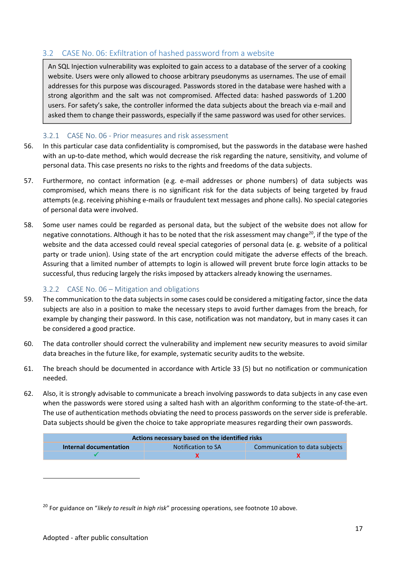#### 3.2 CASE No. 06: Exfiltration of hashed password from a website

An SQL Injection vulnerability was exploited to gain access to a database of the server of a cooking website. Users were only allowed to choose arbitrary pseudonyms as usernames. The use of email addresses for this purpose was discouraged. Passwords stored in the database were hashed with a strong algorithm and the salt was not compromised. Affected data: hashed passwords of 1.200 users. For safety's sake, the controller informed the data subjects about the breach via e-mail and asked them to change their passwords, especially if the same password was used for other services.

#### 3.2.1 CASE No. 06 - Prior measures and risk assessment

- 56. In this particular case data confidentiality is compromised, but the passwords in the database were hashed with an up-to-date method, which would decrease the risk regarding the nature, sensitivity, and volume of personal data. This case presents no risks to the rights and freedoms of the data subjects.
- 57. Furthermore, no contact information (e.g. e-mail addresses or phone numbers) of data subjects was compromised, which means there is no significant risk for the data subjects of being targeted by fraud attempts (e.g. receiving phishing e-mails or fraudulent text messages and phone calls). No special categories of personal data were involved.
- 58. Some user names could be regarded as personal data, but the subject of the website does not allow for negative connotations. Although it has to be noted that the risk assessment may change<sup>20</sup>, if the type of the website and the data accessed could reveal special categories of personal data (e. g. website of a political party or trade union). Using state of the art encryption could mitigate the adverse effects of the breach. Assuring that a limited number of attempts to login is allowed will prevent brute force login attacks to be successful, thus reducing largely the risks imposed by attackers already knowing the usernames.

#### 3.2.2 CASE No. 06 – Mitigation and obligations

- 59. The communication to the data subjects in some cases could be considered a mitigating factor, since the data subjects are also in a position to make the necessary steps to avoid further damages from the breach, for example by changing their password. In this case, notification was not mandatory, but in many cases it can be considered a good practice.
- 60. The data controller should correct the vulnerability and implement new security measures to avoid similar data breaches in the future like, for example, systematic security audits to the website.
- 61. The breach should be documented in accordance with Article 33 (5) but no notification or communication needed.
- 62. Also, it is strongly advisable to communicate a breach involving passwords to data subjects in any case even when the passwords were stored using a salted hash with an algorithm conforming to the state-of-the-art. The use of authentication methods obviating the need to process passwords on the server side is preferable. Data subjects should be given the choice to take appropriate measures regarding their own passwords.

| Actions necessary based on the identified risks                                |  |  |  |  |
|--------------------------------------------------------------------------------|--|--|--|--|
| Communication to data subjects<br>Internal documentation<br>Notification to SA |  |  |  |  |
|                                                                                |  |  |  |  |

<sup>20</sup> For guidance on "*likely to result in high risk*" processing operations, see footnote 10 above.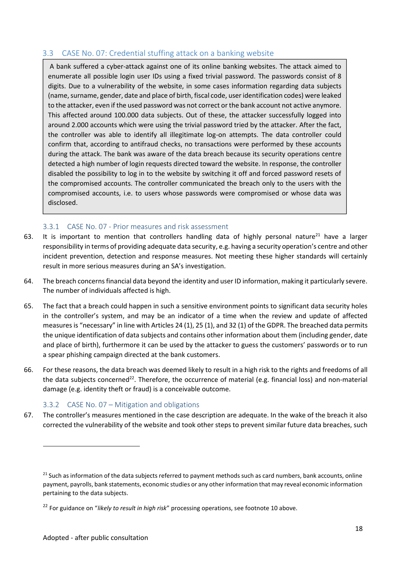#### 3.3 CASE No. 07: Credential stuffing attack on a banking website

A bank suffered a cyber-attack against one of its online banking websites. The attack aimed to enumerate all possible login user IDs using a fixed trivial password. The passwords consist of 8 digits. Due to a vulnerability of the website, in some cases information regarding data subjects (name, surname, gender, date and place of birth, fiscal code, user identification codes) were leaked to the attacker, even if the used password was not correct or the bank account not active anymore. This affected around 100.000 data subjects. Out of these, the attacker successfully logged into around 2.000 accounts which were using the trivial password tried by the attacker. After the fact, the controller was able to identify all illegitimate log-on attempts. The data controller could confirm that, according to antifraud checks, no transactions were performed by these accounts during the attack. The bank was aware of the data breach because its security operations centre detected a high number of login requests directed toward the website. In response, the controller disabled the possibility to log in to the website by switching it off and forced password resets of the compromised accounts. The controller communicated the breach only to the users with the compromised accounts, i.e. to users whose passwords were compromised or whose data was disclosed.

#### 3.3.1 CASE No. 07 - Prior measures and risk assessment

- 63. It is important to mention that controllers handling data of highly personal nature<sup>21</sup> have a larger responsibility in terms of providing adequate data security, e.g. having a security operation's centre and other incident prevention, detection and response measures. Not meeting these higher standards will certainly result in more serious measures during an SA's investigation.
- 64. The breach concerns financial data beyond the identity and user ID information, making it particularly severe. The number of individuals affected is high.
- 65. The fact that a breach could happen in such a sensitive environment points to significant data security holes in the controller's system, and may be an indicator of a time when the review and update of affected measures is "necessary" in line with Articles 24 (1), 25 (1), and 32 (1) of the GDPR. The breached data permits the unique identification of data subjects and contains other information about them (including gender, date and place of birth), furthermore it can be used by the attacker to guess the customers' passwords or to run a spear phishing campaign directed at the bank customers.
- 66. For these reasons, the data breach was deemed likely to result in a high risk to the rights and freedoms of all the data subjects concerned<sup>22</sup>. Therefore, the occurrence of material (e.g. financial loss) and non-material damage (e.g. identity theft or fraud) is a conceivable outcome.

#### 3.3.2 CASE No. 07 – Mitigation and obligations

67. The controller's measures mentioned in the case description are adequate. In the wake of the breach it also corrected the vulnerability of the website and took other steps to prevent similar future data breaches, such

<sup>&</sup>lt;sup>21</sup> Such as information of the data subjects referred to payment methods such as card numbers, bank accounts, online payment, payrolls, bank statements, economic studies or any other information that may reveal economic information pertaining to the data subjects.

<sup>22</sup> For guidance on "*likely to result in high risk*" processing operations, see footnote 10 above.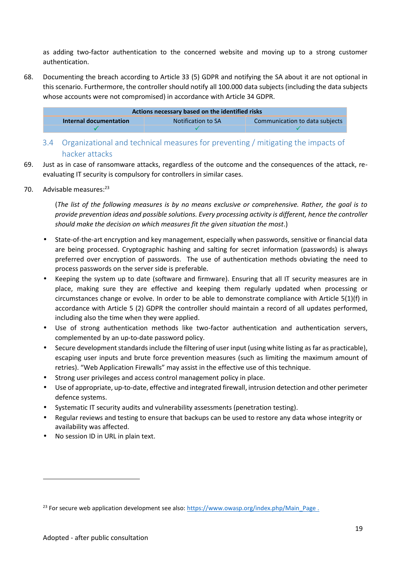as adding two-factor authentication to the concerned website and moving up to a strong customer authentication.

68. Documenting the breach according to Article 33 (5) GDPR and notifying the SA about it are not optional in this scenario. Furthermore, the controller should notify all 100.000 data subjects (including the data subjects whose accounts were not compromised) in accordance with Article 34 GDPR.

| Actions necessary based on the identified risks                                |  |  |  |  |
|--------------------------------------------------------------------------------|--|--|--|--|
| Communication to data subjects<br>Notification to SA<br>Internal documentation |  |  |  |  |
|                                                                                |  |  |  |  |

- 3.4 Organizational and technical measures for preventing / mitigating the impacts of hacker attacks
- 69. Just as in case of ransomware attacks, regardless of the outcome and the consequences of the attack, re evaluating IT security is compulsory for controllers in similar cases.
- 70. Advisable measures:<sup>23</sup>

(*The list of the following measures is by no means exclusive or comprehensive. Rather, the goal is to provide prevention ideas and possible solutions. Every processing activity is different, hence the controller should make the decision on which measures fit the given situation the most*.)

- State-of-the-art encryption and key management, especially when passwords, sensitive or financial data are being processed. Cryptographic hashing and salting for secret information (passwords) is always preferred over encryption of passwords. The use of authentication methods obviating the need to process passwords on the server side is preferable.
- Keeping the system up to date (software and firmware). Ensuring that all IT security measures are in place, making sure they are effective and keeping them regularly updated when processing or circumstances change or evolve. In order to be able to demonstrate compliance with Article 5(1)(f) in accordance with Article 5 (2) GDPR the controller should maintain a record of all updates performed, including also the time when they were applied.
- Use of strong authentication methods like two-factor authentication and authentication servers, complemented by an up-to-date password policy.
- Secure development standards include the filtering of user input (using white listing as far as practicable), escaping user inputs and brute force prevention measures (such as limiting the maximum amount of retries). "Web Application Firewalls" may assist in the effective use of this technique.
- Strong user privileges and access control management policy in place.
- Use of appropriate, up-to-date, effective and integrated firewall, intrusion detection and other perimeter defence systems.
- Systematic IT security audits and vulnerability assessments (penetration testing).
- Regular reviews and testing to ensure that backups can be used to restore any data whose integrity or availability was affected.
- No session ID in URL in plain text.

<sup>&</sup>lt;sup>23</sup> For secure web application development see also: https://www.owasp.org/index.php/Main\_Page .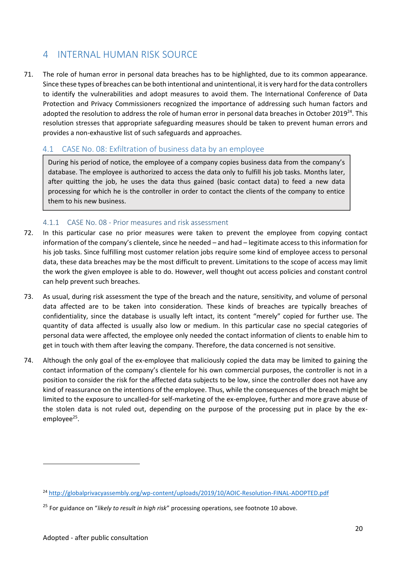## 4 INTERNAL HUMAN RISK SOURCE

71. The role of human error in personal data breaches has to be highlighted, due to its common appearance. Since these types of breaches can be both intentional and unintentional, it is very hard for the data controllers to identify the vulnerabilities and adopt measures to avoid them. The International Conference of Data Protection and Privacy Commissioners recognized the importance of addressing such human factors and adopted the resolution to address the role of human error in personal data breaches in October 2019<sup>24</sup>. This resolution stresses that appropriate safeguarding measures should be taken to prevent human errors and provides a non-exhaustive list of such safeguards and approaches.

#### 4.1 CASE No. 08: Exfiltration of business data by an employee

During his period of notice, the employee of a company copies business data from the company's database. The employee is authorized to access the data only to fulfill his job tasks. Months later, after quitting the job, he uses the data thus gained (basic contact data) to feed a new data processing for which he is the controller in order to contact the clients of the company to entice them to his new business.

#### 4.1.1 CASE No. 08 - Prior measures and risk assessment

- 72. In this particular case no prior measures were taken to prevent the employee from copying contact information of the company's clientele, since he needed – and had – legitimate access to this information for his job tasks. Since fulfilling most customer relation jobs require some kind of employee access to personal data, these data breaches may be the most difficult to prevent. Limitations to the scope of access may limit the work the given employee is able to do. However, well thought out access policies and constant control can help prevent such breaches.
- 73. As usual, during risk assessment the type of the breach and the nature, sensitivity, and volume of personal data affected are to be taken into consideration. These kinds of breaches are typically breaches of confidentiality, since the database is usually left intact, its content "merely" copied for further use. The quantity of data affected is usually also low or medium. In this particular case no special categories of personal data were affected, the employee only needed the contact information of clients to enable him to get in touch with them after leaving the company. Therefore, the data concerned is not sensitive.
- 74. Although the only goal of the ex-employee that maliciously copied the data may be limited to gaining the contact information of the company's clientele for his own commercial purposes, the controller is not in a position to consider the risk for the affected data subjects to be low, since the controller does not have any kind of reassurance on the intentions of the employee. Thus, while the consequences of the breach might be limited to the exposure to uncalled-for self-marketing of the ex-employee, further and more grave abuse of the stolen data is not ruled out, depending on the purpose of the processing put in place by the ex employee<sup>25</sup>.

<sup>&</sup>lt;sup>24</sup> http://globalprivacyassembly.org/wp-content/uploads/2019/10/AOIC-Resolution-FINAL-ADOPTED.pdf

<sup>25</sup> For guidance on "*likely to result in high risk*" processing operations, see footnote 10 above.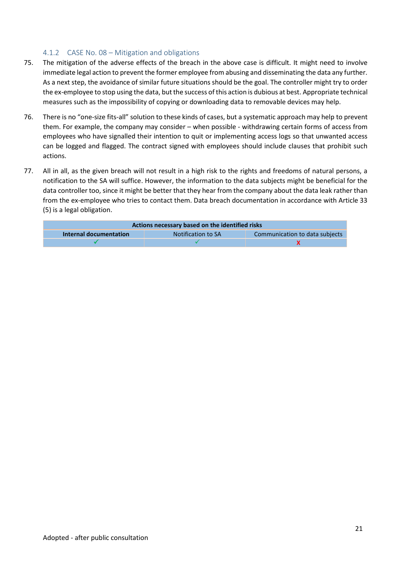#### 4.1.2 CASE No. 08 – Mitigation and obligations

- 75. The mitigation of the adverse effects of the breach in the above case is difficult. It might need to involve immediate legal action to prevent the former employee from abusing and disseminating the data any further. As a next step, the avoidance of similar future situations should be the goal. The controller might try to order the ex-employee to stop using the data, but the success of this action is dubious at best. Appropriate technical measures such as the impossibility of copying or downloading data to removable devices may help.
- 76. There is no "one-size fits-all" solution to these kinds of cases, but a systematic approach may help to prevent them. For example, the company may consider – when possible - withdrawing certain forms of access from employees who have signalled their intention to quit or implementing access logs so that unwanted access can be logged and flagged. The contract signed with employees should include clauses that prohibit such actions.
- 77. All in all, as the given breach will not result in a high risk to the rights and freedoms of natural persons, a notification to the SA will suffice. However, the information to the data subjects might be beneficial for the data controller too, since it might be better that they hear from the company about the data leak rather than from the ex-employee who tries to contact them. Data breach documentation in accordance with Article 33 (5) is a legal obligation.

| Actions necessary based on the identified risks                                       |  |  |  |  |
|---------------------------------------------------------------------------------------|--|--|--|--|
| <b>Internal documentation</b><br>Communication to data subjects<br>Notification to SA |  |  |  |  |
|                                                                                       |  |  |  |  |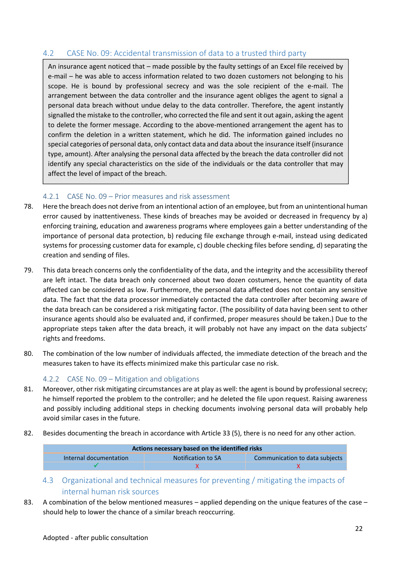#### 4.2 CASE No. 09: Accidental transmission of data to a trusted third party

An insurance agent noticed that – made possible by the faulty settings of an Excel file received by e-mail – he was able to access information related to two dozen customers not belonging to his scope. He is bound by professional secrecy and was the sole recipient of the e-mail. The arrangement between the data controller and the insurance agent obliges the agent to signal a personal data breach without undue delay to the data controller. Therefore, the agent instantly signalled the mistake to the controller, who corrected the file and sent it out again, asking the agent to delete the former message. According to the above-mentioned arrangement the agent has to confirm the deletion in a written statement, which he did. The information gained includes no special categories of personal data, only contact data and data about the insurance itself (insurance type, amount). After analysing the personal data affected by the breach the data controller did not identify any special characteristics on the side of the individuals or the data controller that may affect the level of impact of the breach.

#### 4.2.1 CASE No. 09 – Prior measures and risk assessment

- 78. Here the breach does not derive from an intentional action of an employee, but from an unintentional human error caused by inattentiveness. These kinds of breaches may be avoided or decreased in frequency by a) enforcing training, education and awareness programs where employees gain a better understanding of the importance of personal data protection, b) reducing file exchange through e-mail, instead using dedicated systems for processing customer data for example, c) double checking files before sending, d) separating the creation and sending of files.
- 79. This data breach concerns only the confidentiality of the data, and the integrity and the accessibility thereof are left intact. The data breach only concerned about two dozen costumers, hence the quantity of data affected can be considered as low. Furthermore, the personal data affected does not contain any sensitive data. The fact that the data processor immediately contacted the data controller after becoming aware of the data breach can be considered a risk mitigating factor. (The possibility of data having been sent to other insurance agents should also be evaluated and, if confirmed, proper measures should be taken.) Due to the appropriate steps taken after the data breach, it will probably not have any impact on the data subjects' rights and freedoms.
- 80. The combination of the low number of individuals affected, the immediate detection of the breach and the measures taken to have its effects minimized make this particular case no risk.

#### 4.2.2 CASE No. 09 – Mitigation and obligations

- 81. Moreover, other risk mitigating circumstances are at play as well: the agent is bound by professional secrecy; he himself reported the problem to the controller; and he deleted the file upon request. Raising awareness and possibly including additional steps in checking documents involving personal data will probably help avoid similar cases in the future.
- 82. Besides documenting the breach in accordance with Article 33 (5), there is no need for any other action.

| Actions necessary based on the identified risks                                |  |  |  |
|--------------------------------------------------------------------------------|--|--|--|
| Notification to SA<br>Communication to data subjects<br>Internal documentation |  |  |  |
|                                                                                |  |  |  |

- 4.3 Organizational and technical measures for preventing / mitigating the impacts of internal human risk sources
- 83. A combination of the below mentioned measures applied depending on the unique features of the case should help to lower the chance of a similar breach reoccurring.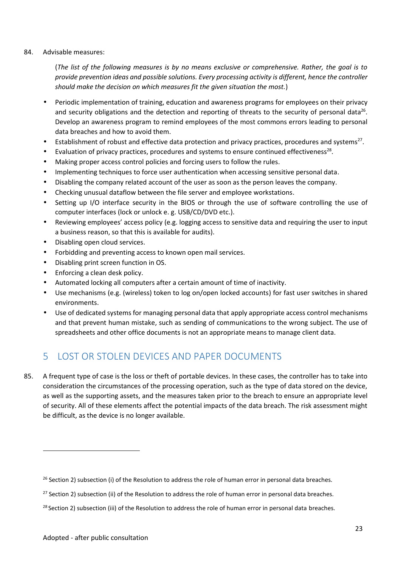#### 84. Advisable measures:

(*The list of the following measures is by no means exclusive or comprehensive. Rather, the goal is to provide prevention ideas and possible solutions. Every processing activity is different, hence the controller should make the decision on which measures fit the given situation the most.*)

- Periodic implementation of training, education and awareness programs for employees on their privacy and security obligations and the detection and reporting of threats to the security of personal data<sup>26</sup>. Develop an awareness program to remind employees of the most commons errors leading to personal data breaches and how to avoid them.
- $\int$  Establishment of robust and effective data protection and privacy practices, procedures and systems<sup>27</sup>.
- ) Evaluation of privacy practices, procedures and systems to ensure continued effectiveness<sup>28</sup>.
- Making proper access control policies and forcing users to follow the rules.
- Implementing techniques to force user authentication when accessing sensitive personal data.
- Disabling the company related account of the user as soon as the person leaves the company.
- Checking unusual dataflow between the file server and employee workstations.
- Setting up I/O interface security in the BIOS or through the use of software controlling the use of computer interfaces (lock or unlock e. g. USB/CD/DVD etc.).
- Reviewing employees' access policy (e.g. logging access to sensitive data and requiring the user to input a business reason, so that this is available for audits).
- Disabling open cloud services.
- Forbidding and preventing access to known open mail services.
- Disabling print screen function in OS.
- Enforcing a clean desk policy.
- Automated locking all computers after a certain amount of time of inactivity.
- Use mechanisms (e.g. (wireless) token to log on/open locked accounts) for fast user switches in shared environments.
- Use of dedicated systems for managing personal data that apply appropriate access control mechanisms and that prevent human mistake, such as sending of communications to the wrong subject. The use of spreadsheets and other office documents is not an appropriate means to manage client data.

## 5 LOST OR STOLEN DEVICES AND PAPER DOCUMENTS

85. A frequent type of case is the loss or theft of portable devices. In these cases, the controller has to take into consideration the circumstances of the processing operation, such as the type of data stored on the device, as well as the supporting assets, and the measures taken prior to the breach to ensure an appropriate level of security. All of these elements affect the potential impacts of the data breach. The risk assessment might be difficult, as the device is no longer available.

 $^{26}$  Section 2) subsection (i) of the Resolution to address the role of human error in personal data breaches.

<sup>&</sup>lt;sup>27</sup> Section 2) subsection (ii) of the Resolution to address the role of human error in personal data breaches.

<sup>&</sup>lt;sup>28</sup> Section 2) subsection (iii) of the Resolution to address the role of human error in personal data breaches.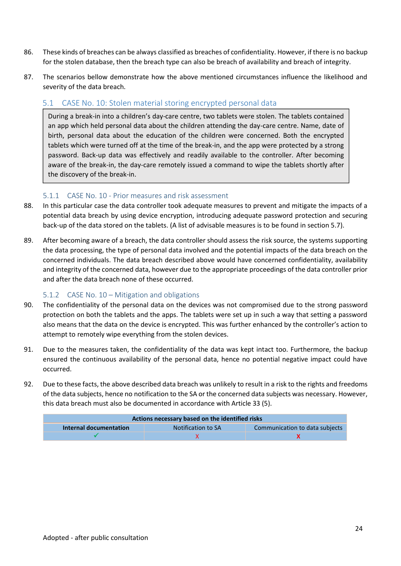- 86. These kinds of breaches can be always classified as breaches of confidentiality. However, if there is no backup for the stolen database, then the breach type can also be breach of availability and breach of integrity.
- 87. The scenarios bellow demonstrate how the above mentioned circumstances influence the likelihood and severity of the data breach.

#### 5.1 CASE No. 10: Stolen material storing encrypted personal data

During a break-in into a children's day-care centre, two tablets were stolen. The tablets contained an app which held personal data about the children attending the day-care centre. Name, date of birth, personal data about the education of the children were concerned. Both the encrypted tablets which were turned off at the time of the break-in, and the app were protected by a strong password. Back-up data was effectively and readily available to the controller. After becoming aware of the break-in, the day-care remotely issued a command to wipe the tablets shortly after the discovery of the break-in.

#### 5.1.1 CASE No. 10 - Prior measures and risk assessment

- 88. In this particular case the data controller took adequate measures to prevent and mitigate the impacts of a potential data breach by using device encryption, introducing adequate password protection and securing back-up of the data stored on the tablets. (A list of advisable measures is to be found in section 5.7).
- 89. After becoming aware of a breach, the data controller should assess the risk source, the systems supporting the data processing, the type of personal data involved and the potential impacts of the data breach on the concerned individuals. The data breach described above would have concerned confidentiality, availability and integrity of the concerned data, however due to the appropriate proceedings of the data controller prior and after the data breach none of these occurred.

#### 5.1.2 CASE No. 10 – Mitigation and obligations

- 90. The confidentiality of the personal data on the devices was not compromised due to the strong password protection on both the tablets and the apps. The tablets were set up in such a way that setting a password also means that the data on the device is encrypted. This was further enhanced by the controller's action to attempt to remotely wipe everything from the stolen devices.
- 91. Due to the measures taken, the confidentiality of the data was kept intact too. Furthermore, the backup ensured the continuous availability of the personal data, hence no potential negative impact could have occurred.
- 92. Due to these facts, the above described data breach was unlikely to result in a risk to the rights and freedoms of the data subjects, hence no notification to the SA or the concerned data subjects was necessary. However, this data breach must also be documented in accordance with Article 33 (5).

| Actions necessary based on the identified risks |                    |                                |
|-------------------------------------------------|--------------------|--------------------------------|
| Internal documentation                          | Notification to SA | Communication to data subjects |
|                                                 |                    |                                |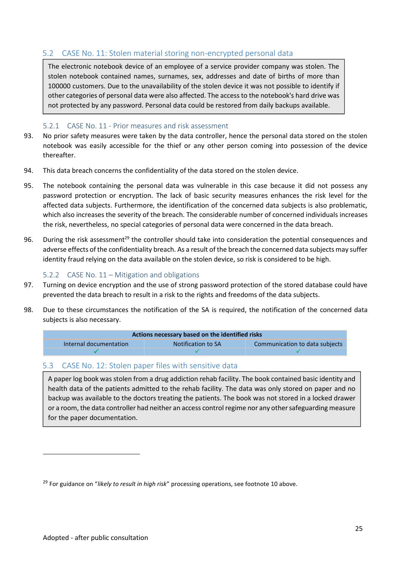#### 5.2 CASE No. 11: Stolen material storing non-encrypted personal data

The electronic notebook device of an employee of a service provider company was stolen. The stolen notebook contained names, surnames, sex, addresses and date of births of more than 100000 customers. Due to the unavailability of the stolen device it was not possible to identify if other categories of personal data were also affected. The access to the notebook's hard drive was not protected by any password. Personal data could be restored from daily backups available.

#### 5.2.1 CASE No. 11 - Prior measures and risk assessment

- 93. No prior safety measures were taken by the data controller, hence the personal data stored on the stolen notebook was easily accessible for the thief or any other person coming into possession of the device thereafter.
- 94. This data breach concerns the confidentiality of the data stored on the stolen device.
- 95. The notebook containing the personal data was vulnerable in this case because it did not possess any password protection or encryption. The lack of basic security measures enhances the risk level for the affected data subjects. Furthermore, the identification of the concerned data subjects is also problematic, which also increases the severity of the breach. The considerable number of concerned individuals increases the risk, nevertheless, no special categories of personal data were concerned in the data breach.
- 96. During the risk assessment<sup>29</sup> the controller should take into consideration the potential consequences and adverse effects of the confidentiality breach. As a result of the breach the concerned data subjects may suffer identity fraud relying on the data available on the stolen device, so risk is considered to be high.

#### 5.2.2 CASE No. 11 – Mitigation and obligations

- 97. Turning on device encryption and the use of strong password protection of the stored database could have prevented the data breach to result in a risk to the rights and freedoms of the data subjects.
- 98. Due to these circumstances the notification of the SA is required, the notification of the concerned data subjects is also necessary.

| Actions necessary based on the identified risks |                    |                                |
|-------------------------------------------------|--------------------|--------------------------------|
| Internal documentation                          | Notification to SA | Communication to data subjects |
|                                                 |                    |                                |

#### 5.3 CASE No. 12: Stolen paper files with sensitive data

A paper log book was stolen from a drug addiction rehab facility. The book contained basic identity and health data of the patients admitted to the rehab facility. The data was only stored on paper and no backup was available to the doctors treating the patients. The book was not stored in a locked drawer or a room, the data controller had neither an access control regime nor any othersafeguarding measure for the paper documentation.

<sup>29</sup> For guidance on "*likely to result in high risk*" processing operations, see footnote 10 above.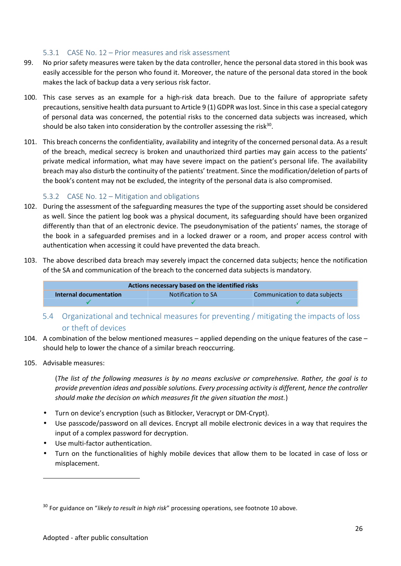#### 5.3.1 CASE No. 12 – Prior measures and risk assessment

- 99. No prior safety measures were taken by the data controller, hence the personal data stored in this book was easily accessible for the person who found it. Moreover, the nature of the personal data stored in the book makes the lack of backup data a very serious risk factor.
- 100. This case serves as an example for a high-risk data breach. Due to the failure of appropriate safety precautions, sensitive health data pursuant to Article 9 (1) GDPR was lost. Since in this case a special category of personal data was concerned, the potential risks to the concerned data subjects was increased, which should be also taken into consideration by the controller assessing the risk<sup>30</sup>.
- 101. This breach concerns the confidentiality, availability and integrity of the concerned personal data. As a result of the breach, medical secrecy is broken and unauthorized third parties may gain access to the patients' private medical information, what may have severe impact on the patient's personal life. The availability breach may also disturb the continuity of the patients' treatment. Since the modification/deletion of parts of the book's content may not be excluded, the integrity of the personal data is also compromised.

#### 5.3.2 CASE No. 12 – Mitigation and obligations

- 102. During the assessment of the safeguarding measures the type of the supporting asset should be considered as well. Since the patient log book was a physical document, its safeguarding should have been organized differently than that of an electronic device. The pseudonymisation of the patients' names, the storage of the book in a safeguarded premises and in a locked drawer or a room, and proper access control with authentication when accessing it could have prevented the data breach.
- 103. The above described data breach may severely impact the concerned data subjects; hence the notification of the SA and communication of the breach to the concerned data subjects is mandatory.

| Actions necessary based on the identified risks |                    |                                |
|-------------------------------------------------|--------------------|--------------------------------|
| Internal documentation                          | Notification to SA | Communication to data subjects |
|                                                 |                    |                                |

- 5.4 Organizational and technical measures for preventing / mitigating the impacts of loss or theft of devices
- 104. A combination of the below mentioned measures applied depending on the unique features of the case should help to lower the chance of a similar breach reoccurring.
- 105. Advisable measures:

(*The list of the following measures is by no means exclusive or comprehensive. Rather, the goal is to provide prevention ideas and possible solutions. Every processing activity is different, hence the controller should make the decision on which measures fit the given situation the most.*)

- Turn on device's encryption (such as Bitlocker, Veracrypt or DM-Crypt).
- Use passcode/password on all devices. Encrypt all mobile electronic devices in a way that requires the input of a complex password for decryption.
- Use multi-factor authentication.
- Turn on the functionalities of highly mobile devices that allow them to be located in case of loss or misplacement.

<sup>30</sup> For guidance on "*likely to result in high risk*" processing operations, see footnote 10 above.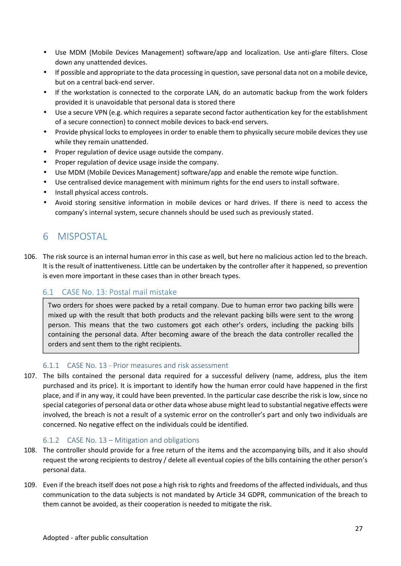- Use MDM (Mobile Devices Management) software/app and localization. Use anti-glare filters. Close down any unattended devices.
- If possible and appropriate to the data processing in question, save personal data not on a mobile device, but on a central back-end server.
- If the workstation is connected to the corporate LAN, do an automatic backup from the work folders provided it is unavoidable that personal data is stored there
- Use a secure VPN (e.g. which requires a separate second factor authentication key for the establishment of a secure connection) to connect mobile devices to back-end servers.
- Provide physical locks to employees in order to enable them to physically secure mobile devices they use while they remain unattended.
- Proper regulation of device usage outside the company.
- Proper regulation of device usage inside the company.
- Use MDM (Mobile Devices Management) software/app and enable the remote wipe function.
- Use centralised device management with minimum rights for the end users to install software.
- Install physical access controls.
- Avoid storing sensitive information in mobile devices or hard drives. If there is need to access the company's internal system, secure channels should be used such as previously stated.

## 6 MISPOSTAL

106. The risk source is an internal human error in this case as well, but here no malicious action led to the breach. It is the result of inattentiveness. Little can be undertaken by the controller after it happened, so prevention is even more important in these cases than in other breach types.

#### 6.1 CASE No. 13: Postal mail mistake

Two orders for shoes were packed by a retail company. Due to human error two packing bills were mixed up with the result that both products and the relevant packing bills were sent to the wrong person. This means that the two customers got each other's orders, including the packing bills containing the personal data. After becoming aware of the breach the data controller recalled the orders and sent them to the right recipients.

#### 6.1.1 CASE No. 13 - Prior measures and risk assessment

107. The bills contained the personal data required for a successful delivery (name, address, plus the item purchased and its price). It is important to identify how the human error could have happened in the first place, and if in any way, it could have been prevented. In the particular case describe the risk is low, since no special categories of personal data or other data whose abuse might lead to substantial negative effects were involved, the breach is not a result of a systemic error on the controller's part and only two individuals are concerned. No negative effect on the individuals could be identified.

#### 6.1.2 CASE No. 13 – Mitigation and obligations

- 108. The controller should provide for a free return of the items and the accompanying bills, and it also should request the wrong recipients to destroy / delete all eventual copies of the bills containing the other person's personal data.
- 109. Even if the breach itself does not pose a high risk to rights and freedoms of the affected individuals, and thus communication to the data subjects is not mandated by Article 34 GDPR, communication of the breach to them cannot be avoided, as their cooperation is needed to mitigate the risk.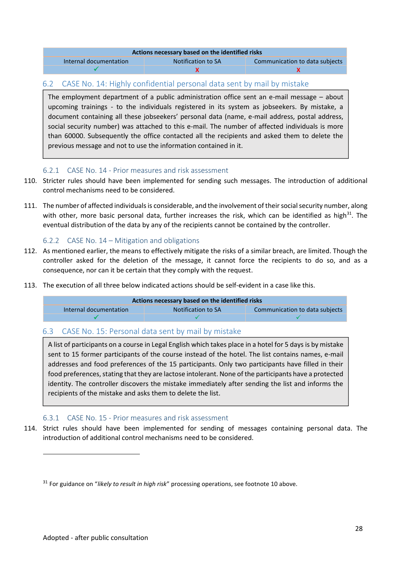| Actions necessary based on the identified risks |                                |  |
|-------------------------------------------------|--------------------------------|--|
| Notification to SA                              | Communication to data subjects |  |
|                                                 |                                |  |
|                                                 |                                |  |

#### 6.2 CASE No. 14: Highly confidential personal data sent by mail by mistake

The employment department of a public administration office sent an e-mail message – about upcoming trainings - to the individuals registered in its system as jobseekers. By mistake, a document containing all these jobseekers' personal data (name, e-mail address, postal address, social security number) was attached to this e-mail. The number of affected individuals is more than 60000. Subsequently the office contacted all the recipients and asked them to delete the previous message and not to use the information contained in it.

#### 6.2.1 CASE No. 14 - Prior measures and risk assessment

- 110. Stricter rules should have been implemented for sending such messages. The introduction of additional control mechanisms need to be considered.
- 111. The number of affected individuals is considerable, and the involvement of their social security number, along with other, more basic personal data, further increases the risk, which can be identified as high<sup>31</sup>. The eventual distribution of the data by any of the recipients cannot be contained by the controller.

#### 6.2.2 CASE No. 14 – Mitigation and obligations

- 112. As mentioned earlier, the means to effectively mitigate the risks of a similar breach, are limited. Though the controller asked for the deletion of the message, it cannot force the recipients to do so, and as a consequence, nor can it be certain that they comply with the request.
- 113. The execution of all three below indicated actions should be self-evident in a case like this.

| Actions necessary based on the identified risks |                    |                                |
|-------------------------------------------------|--------------------|--------------------------------|
| Internal documentation                          | Notification to SA | Communication to data subjects |
|                                                 |                    |                                |

#### 6.3 CASE No. 15: Personal data sent by mail by mistake

A list of participants on a course in Legal English which takes place in a hotel for 5 days is by mistake sent to 15 former participants of the course instead of the hotel. The list contains names, e-mail addresses and food preferences of the 15 participants. Only two participants have filled in their food preferences, stating that they are lactose intolerant. None of the participants have a protected identity. The controller discovers the mistake immediately after sending the list and informs the recipients of the mistake and asks them to delete the list.

#### 6.3.1 CASE No. 15 - Prior measures and risk assessment

114. Strict rules should have been implemented for sending of messages containing personal data. The introduction of additional control mechanisms need to be considered.

<sup>31</sup> For guidance on "*likely to result in high risk*" processing operations, see footnote 10 above.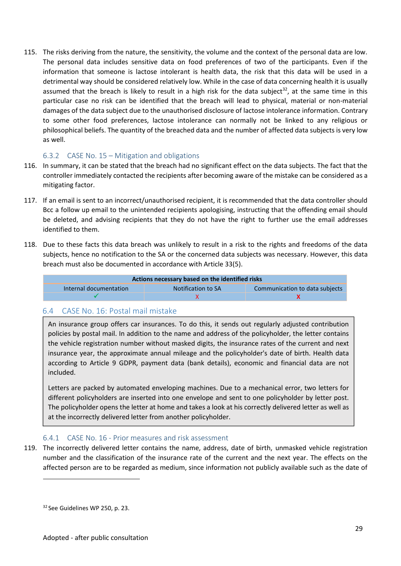115. The risks deriving from the nature, the sensitivity, the volume and the context of the personal data are low. The personal data includes sensitive data on food preferences of two of the participants. Even if the information that someone is lactose intolerant is health data, the risk that this data will be used in a detrimental way should be considered relatively low. While in the case of data concerning health it is usually assumed that the breach is likely to result in a high risk for the data subject<sup>32</sup>, at the same time in this particular case no risk can be identified that the breach will lead to physical, material or non-material damages of the data subject due to the unauthorised disclosure of lactose intolerance information. Contrary to some other food preferences, lactose intolerance can normally not be linked to any religious or philosophical beliefs. The quantity of the breached data and the number of affected data subjects is very low as well.

#### 6.3.2 CASE No. 15 – Mitigation and obligations

- 116. In summary, it can be stated that the breach had no significant effect on the data subjects. The fact that the controller immediately contacted the recipients after becoming aware of the mistake can be considered as a mitigating factor.
- 117. If an email is sent to an incorrect/unauthorised recipient, it is recommended that the data controller should Bcc a follow up email to the unintended recipients apologising, instructing that the offending email should be deleted, and advising recipients that they do not have the right to further use the email addresses identified to them.
- 118. Due to these facts this data breach was unlikely to result in a risk to the rights and freedoms of the data subjects, hence no notification to the SA or the concerned data subjects was necessary. However, this data breach must also be documented in accordance with Article 33(5).

| Actions necessary based on the identified risks |                    |                                |
|-------------------------------------------------|--------------------|--------------------------------|
| Internal documentation                          | Notification to SA | Communication to data subjects |
|                                                 |                    |                                |

#### 6.4 CASE No. 16: Postal mail mistake

An insurance group offers car insurances. To do this, it sends out regularly adjusted contribution policies by postal mail. In addition to the name and address of the policyholder, the letter contains the vehicle registration number without masked digits, the insurance rates of the current and next insurance year, the approximate annual mileage and the policyholder's date of birth. Health data according to Article 9 GDPR, payment data (bank details), economic and financial data are not included.

Letters are packed by automated enveloping machines. Due to a mechanical error, two letters for different policyholders are inserted into one envelope and sent to one policyholder by letter post. The policyholder opens the letter at home and takes a look at his correctly delivered letter as well as at the incorrectly delivered letter from another policyholder.

#### 6.4.1 CASE No. 16 - Prior measures and risk assessment

119. The incorrectly delivered letter contains the name, address, date of birth, unmasked vehicle registration number and the classification of the insurance rate of the current and the next year. The effects on the affected person are to be regarded as medium, since information not publicly available such as the date of

<sup>&</sup>lt;sup>32</sup> See Guidelines WP 250, p. 23.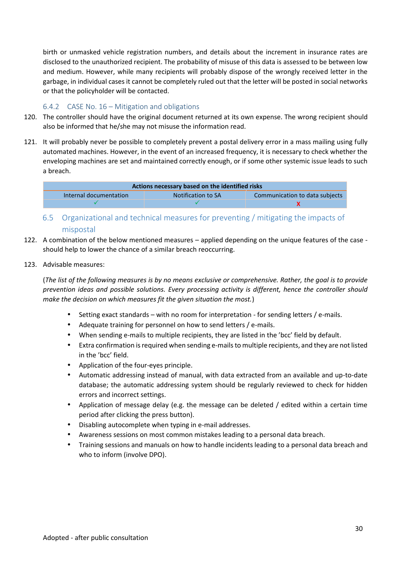birth or unmasked vehicle registration numbers, and details about the increment in insurance rates are disclosed to the unauthorized recipient. The probability of misuse of this data is assessed to be between low and medium. However, while many recipients will probably dispose of the wrongly received letter in the garbage, in individual cases it cannot be completely ruled out that the letter will be posted in social networks or that the policyholder will be contacted.

#### 6.4.2 CASE No. 16 – Mitigation and obligations

- 120. The controller should have the original document returned at its own expense. The wrong recipient should also be informed that he/she may not misuse the information read.
- 121. It will probably never be possible to completely prevent a postal delivery error in a mass mailing using fully automated machines. However, in the event of an increased frequency, it is necessary to check whether the enveloping machines are set and maintained correctly enough, or if some other systemic issue leads to such a breach.

| Actions necessary based on the identified risks |                    |                                |
|-------------------------------------------------|--------------------|--------------------------------|
| Internal documentation                          | Notification to SA | Communication to data subjects |
|                                                 |                    |                                |

- 6.5 Organizational and technical measures for preventing / mitigating the impacts of mispostal
- 122. A combination of the below mentioned measures applied depending on the unique features of the case should help to lower the chance of a similar breach reoccurring.
- 123. Advisable measures:

(*The list of the following measures is by no means exclusive or comprehensive. Rather, the goal is to provide prevention ideas and possible solutions. Every processing activity is different, hence the controller should make the decision on which measures fit the given situation the most.*)

- Setting exact standards with no room for interpretation for sending letters / e-mails.
- Adequate training for personnel on how to send letters / e-mails.
- When sending e-mails to multiple recipients, they are listed in the 'bcc' field by default.
- Extra confirmation is required when sending e-mails to multiple recipients, and they are not listed in the 'bcc' field.
- Application of the four-eyes principle.
- Automatic addressing instead of manual, with data extracted from an available and up-to-date database; the automatic addressing system should be regularly reviewed to check for hidden errors and incorrect settings.
- Application of message delay (e.g. the message can be deleted / edited within a certain time period after clicking the press button).
- Disabling autocomplete when typing in e-mail addresses.
- Awareness sessions on most common mistakes leading to a personal data breach.
- Training sessions and manuals on how to handle incidents leading to a personal data breach and who to inform (involve DPO).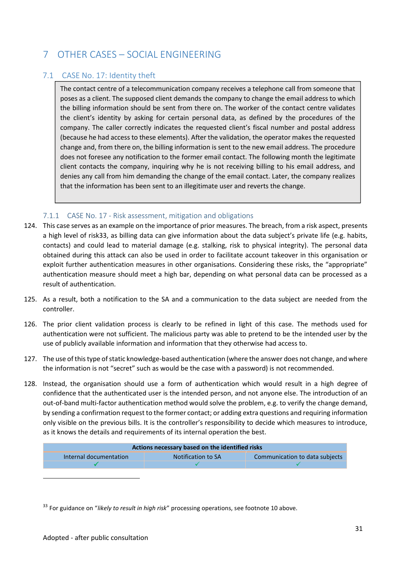## 7 OTHER CASES – SOCIAL ENGINEERING

#### 7.1 CASE No. 17: Identity theft

The contact centre of a telecommunication company receives a telephone call from someone that poses as a client. The supposed client demands the company to change the email address to which the billing information should be sent from there on. The worker of the contact centre validates the client's identity by asking for certain personal data, as defined by the procedures of the company. The caller correctly indicates the requested client's fiscal number and postal address (because he had access to these elements). After the validation, the operator makes the requested change and, from there on, the billing information is sent to the new email address. The procedure does not foresee any notification to the former email contact. The following month the legitimate client contacts the company, inquiring why he is not receiving billing to his email address, and denies any call from him demanding the change of the email contact. Later, the company realizes that the information has been sent to an illegitimate user and reverts the change.

#### 7.1.1 CASE No. 17 - Risk assessment, mitigation and obligations

- 124. This case serves as an example on the importance of prior measures. The breach, from a risk aspect, presents a high level of risk33, as billing data can give information about the data subject's private life (e.g. habits, contacts) and could lead to material damage (e.g. stalking, risk to physical integrity). The personal data obtained during this attack can also be used in order to facilitate account takeover in this organisation or exploit further authentication measures in other organisations. Considering these risks, the "appropriate" authentication measure should meet a high bar, depending on what personal data can be processed as a result of authentication.
- 125. As a result, both a notification to the SA and a communication to the data subject are needed from the controller.
- 126. The prior client validation process is clearly to be refined in light of this case. The methods used for authentication were not sufficient. The malicious party was able to pretend to be the intended user by the use of publicly available information and information that they otherwise had access to.
- 127. The use of this type of static knowledge-based authentication (where the answer does not change, and where the information is not "secret" such as would be the case with a password) is not recommended.
- 128. Instead, the organisation should use a form of authentication which would result in a high degree of confidence that the authenticated user is the intended person, and not anyone else. The introduction of an out-of-band multi-factor authentication method would solve the problem, e.g. to verify the change demand, by sending a confirmation request to the former contact; or adding extra questions and requiring information only visible on the previous bills. It is the controller's responsibility to decide which measures to introduce, as it knows the details and requirements of its internal operation the best.

| Actions necessary based on the identified risks |                    |                                |
|-------------------------------------------------|--------------------|--------------------------------|
| Internal documentation                          | Notification to SA | Communication to data subjects |
|                                                 |                    |                                |

<sup>33</sup> For guidance on "*likely to result in high risk*" processing operations, see footnote 10 above.